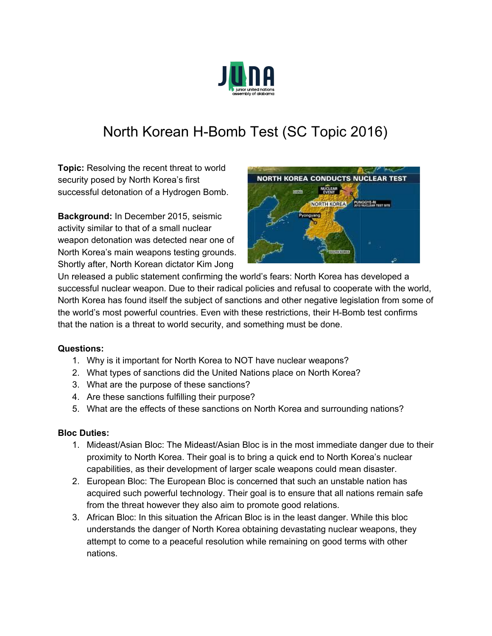

## North Korean H-Bomb Test (SC Topic 2016)

**Topic:** Resolving the recent threat to world security posed by North Korea's first successful detonation of a Hydrogen Bomb.

**Background:** In December 2015, seismic activity similar to that of a small nuclear weapon detonation was detected near one of North Korea's main weapons testing grounds. Shortly after, North Korean dictator Kim Jong



Un released a public statement confirming the world's fears: North Korea has developed a successful nuclear weapon. Due to their radical policies and refusal to cooperate with the world, North Korea has found itself the subject of sanctions and other negative legislation from some of the world's most powerful countries. Even with these restrictions, their H-Bomb test confirms that the nation is a threat to world security, and something must be done.

## **Questions:**

- 1. Why is it important for North Korea to NOT have nuclear weapons?
- 2. What types of sanctions did the United Nations place on North Korea?
- 3. What are the purpose of these sanctions?
- 4. Are these sanctions fulfilling their purpose?
- 5. What are the effects of these sanctions on North Korea and surrounding nations?

## **Bloc Duties:**

- 1. Mideast/Asian Bloc: The Mideast/Asian Bloc is in the most immediate danger due to their proximity to North Korea. Their goal is to bring a quick end to North Korea's nuclear capabilities, as their development of larger scale weapons could mean disaster.
- 2. European Bloc: The European Bloc is concerned that such an unstable nation has acquired such powerful technology. Their goal is to ensure that all nations remain safe from the threat however they also aim to promote good relations.
- 3. African Bloc: In this situation the African Bloc is in the least danger. While this bloc understands the danger of North Korea obtaining devastating nuclear weapons, they attempt to come to a peaceful resolution while remaining on good terms with other nations.